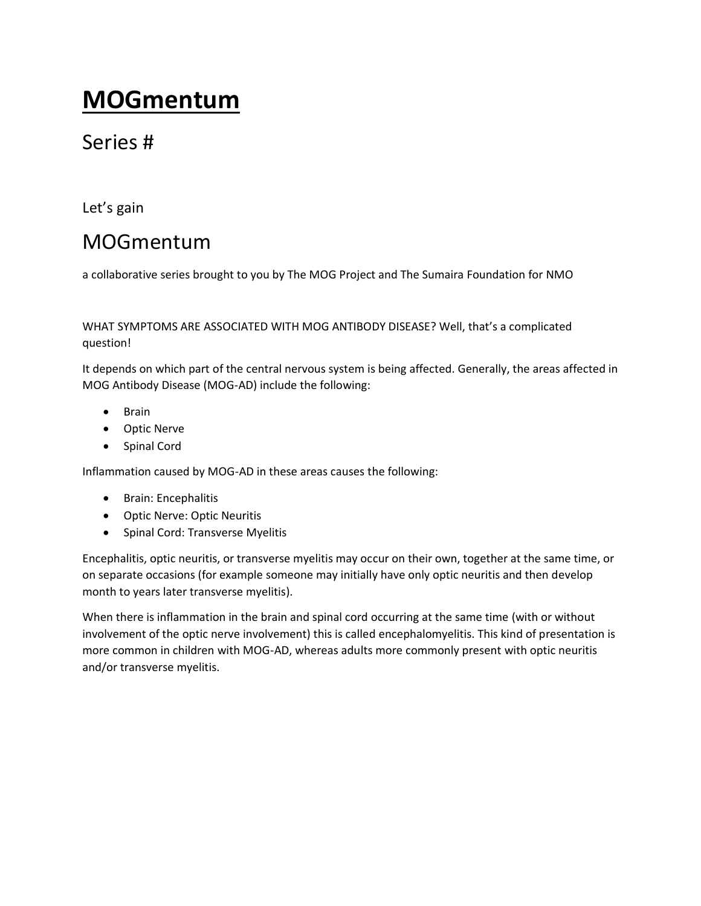# **MOGmentum**

## Series #

Let's gain

# MOGmentum

a collaborative series brought to you by The MOG Project and The Sumaira Foundation for NMO

WHAT SYMPTOMS ARE ASSOCIATED WITH MOG ANTIBODY DISEASE? Well, that's a complicated question!

It depends on which part of the central nervous system is being affected. Generally, the areas affected in MOG Antibody Disease (MOG-AD) include the following:

- Brain
- Optic Nerve
- Spinal Cord

Inflammation caused by MOG-AD in these areas causes the following:

- Brain: Encephalitis
- Optic Nerve: Optic Neuritis
- Spinal Cord: Transverse Myelitis

Encephalitis, optic neuritis, or transverse myelitis may occur on their own, together at the same time, or on separate occasions (for example someone may initially have only optic neuritis and then develop month to years later transverse myelitis).

When there is inflammation in the brain and spinal cord occurring at the same time (with or without involvement of the optic nerve involvement) this is called encephalomyelitis. This kind of presentation is more common in children with MOG-AD, whereas adults more commonly present with optic neuritis and/or transverse myelitis.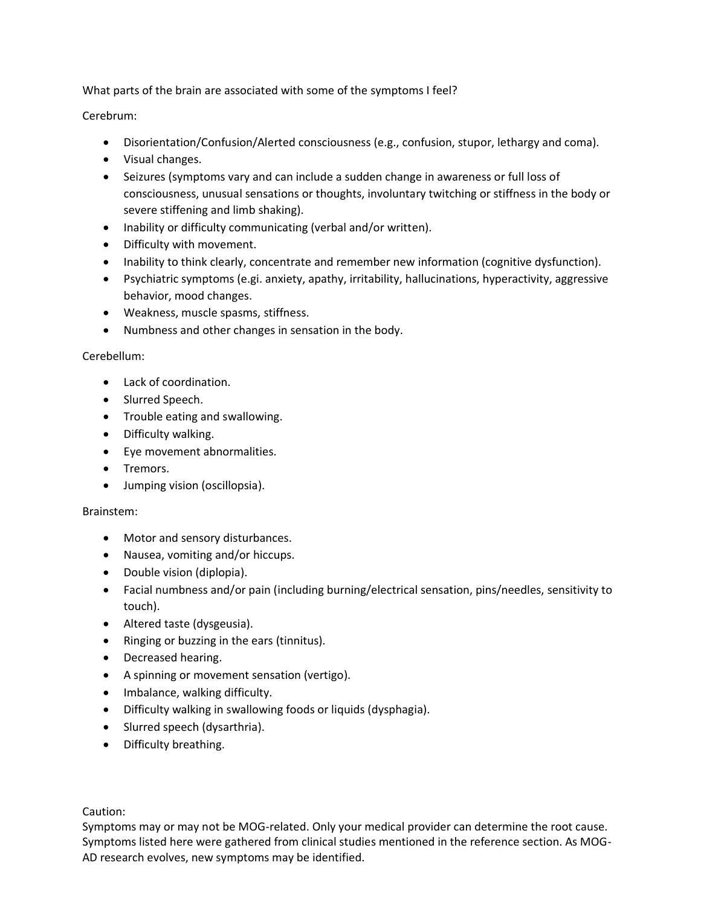What parts of the brain are associated with some of the symptoms I feel?

Cerebrum:

- Disorientation/Confusion/Alerted consciousness (e.g., confusion, stupor, lethargy and coma).
- Visual changes.
- Seizures (symptoms vary and can include a sudden change in awareness or full loss of consciousness, unusual sensations or thoughts, involuntary twitching or stiffness in the body or severe stiffening and limb shaking).
- Inability or difficulty communicating (verbal and/or written).
- Difficulty with movement.
- Inability to think clearly, concentrate and remember new information (cognitive dysfunction).
- Psychiatric symptoms (e.gi. anxiety, apathy, irritability, hallucinations, hyperactivity, aggressive behavior, mood changes.
- Weakness, muscle spasms, stiffness.
- Numbness and other changes in sensation in the body.

### Cerebellum:

- Lack of coordination.
- Slurred Speech.
- Trouble eating and swallowing.
- Difficulty walking.
- Eye movement abnormalities.
- Tremors.
- Jumping vision (oscillopsia).

### Brainstem:

- Motor and sensory disturbances.
- Nausea, vomiting and/or hiccups.
- Double vision (diplopia).
- Facial numbness and/or pain (including burning/electrical sensation, pins/needles, sensitivity to touch).
- Altered taste (dysgeusia).
- Ringing or buzzing in the ears (tinnitus).
- Decreased hearing.
- A spinning or movement sensation (vertigo).
- Imbalance, walking difficulty.
- Difficulty walking in swallowing foods or liquids (dysphagia).
- Slurred speech (dysarthria).
- Difficulty breathing.

Caution: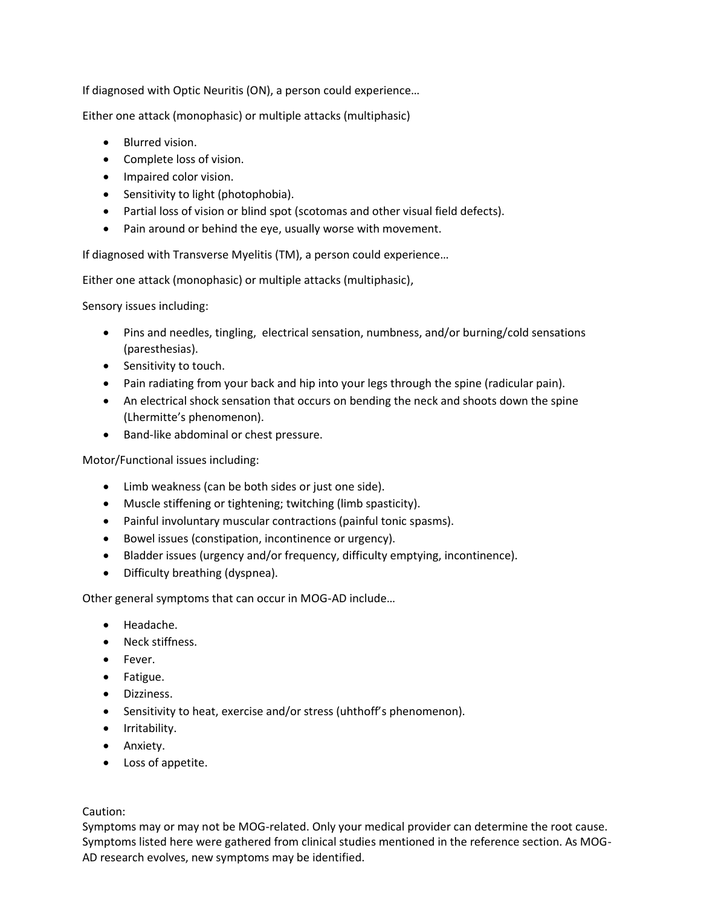If diagnosed with Optic Neuritis (ON), a person could experience…

Either one attack (monophasic) or multiple attacks (multiphasic)

- Blurred vision.
- Complete loss of vision.
- Impaired color vision.
- Sensitivity to light (photophobia).
- Partial loss of vision or blind spot (scotomas and other visual field defects).
- Pain around or behind the eye, usually worse with movement.

If diagnosed with Transverse Myelitis (TM), a person could experience…

Either one attack (monophasic) or multiple attacks (multiphasic),

Sensory issues including:

- Pins and needles, tingling, electrical sensation, numbness, and/or burning/cold sensations (paresthesias).
- Sensitivity to touch.
- Pain radiating from your back and hip into your legs through the spine (radicular pain).
- An electrical shock sensation that occurs on bending the neck and shoots down the spine (Lhermitte's phenomenon).
- Band-like abdominal or chest pressure.

Motor/Functional issues including:

- Limb weakness (can be both sides or just one side).
- Muscle stiffening or tightening; twitching (limb spasticity).
- Painful involuntary muscular contractions (painful tonic spasms).
- Bowel issues (constipation, incontinence or urgency).
- Bladder issues (urgency and/or frequency, difficulty emptying, incontinence).
- Difficulty breathing (dyspnea).

Other general symptoms that can occur in MOG-AD include…

- Headache.
- Neck stiffness.
- Fever.
- Fatigue.
- Dizziness.
- Sensitivity to heat, exercise and/or stress (uhthoff's phenomenon).
- Irritability.
- Anxiety.
- Loss of appetite.

### Caution: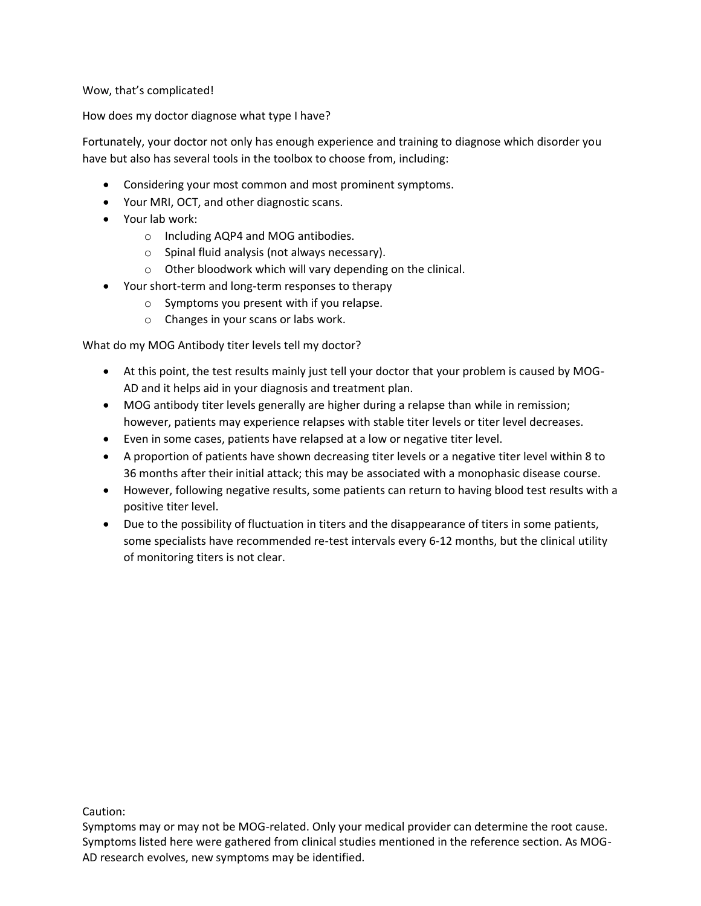Wow, that's complicated!

How does my doctor diagnose what type I have?

Fortunately, your doctor not only has enough experience and training to diagnose which disorder you have but also has several tools in the toolbox to choose from, including:

- Considering your most common and most prominent symptoms.
- Your MRI, OCT, and other diagnostic scans.
- Your lab work:
	- o Including AQP4 and MOG antibodies.
	- o Spinal fluid analysis (not always necessary).
	- o Other bloodwork which will vary depending on the clinical.
- Your short-term and long-term responses to therapy
	- o Symptoms you present with if you relapse.
	- o Changes in your scans or labs work.

What do my MOG Antibody titer levels tell my doctor?

- At this point, the test results mainly just tell your doctor that your problem is caused by MOG-AD and it helps aid in your diagnosis and treatment plan.
- MOG antibody titer levels generally are higher during a relapse than while in remission; however, patients may experience relapses with stable titer levels or titer level decreases.
- Even in some cases, patients have relapsed at a low or negative titer level.
- A proportion of patients have shown decreasing titer levels or a negative titer level within 8 to 36 months after their initial attack; this may be associated with a monophasic disease course.
- However, following negative results, some patients can return to having blood test results with a positive titer level.
- Due to the possibility of fluctuation in titers and the disappearance of titers in some patients, some specialists have recommended re-test intervals every 6-12 months, but the clinical utility of monitoring titers is not clear.

Caution:

Symptoms may or may not be MOG-related. Only your medical provider can determine the root cause. Symptoms listed here were gathered from clinical studies mentioned in the reference section. As MOG-AD research evolves, new symptoms may be identified.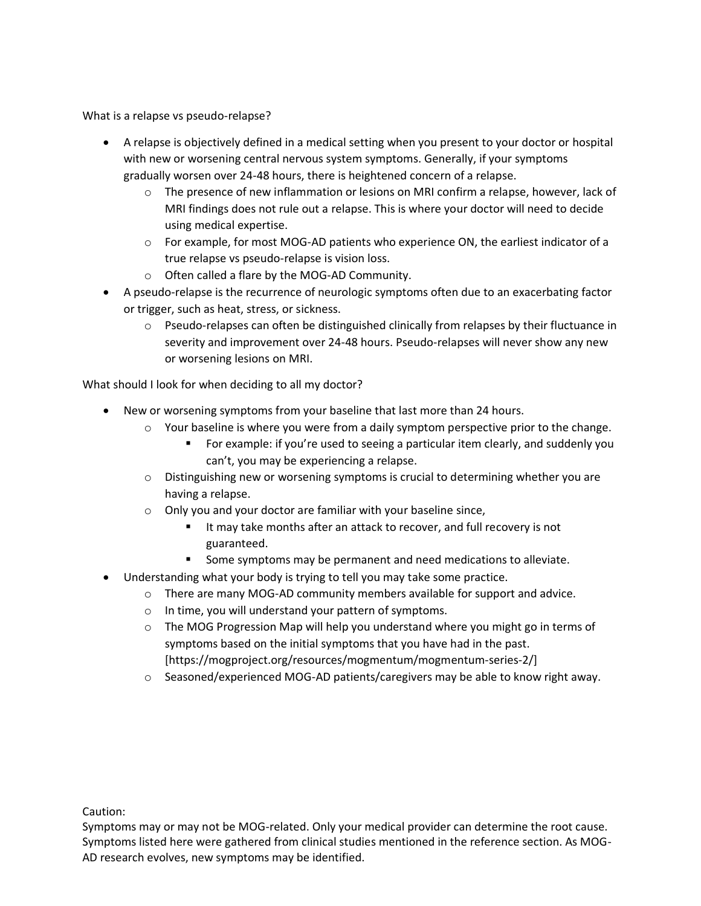What is a relapse vs pseudo-relapse?

- A relapse is objectively defined in a medical setting when you present to your doctor or hospital with new or worsening central nervous system symptoms. Generally, if your symptoms gradually worsen over 24-48 hours, there is heightened concern of a relapse.
	- $\circ$  The presence of new inflammation or lesions on MRI confirm a relapse, however, lack of MRI findings does not rule out a relapse. This is where your doctor will need to decide using medical expertise.
	- $\circ$  For example, for most MOG-AD patients who experience ON, the earliest indicator of a true relapse vs pseudo-relapse is vision loss.
	- o Often called a flare by the MOG-AD Community.
- A pseudo-relapse is the recurrence of neurologic symptoms often due to an exacerbating factor or trigger, such as heat, stress, or sickness.
	- $\circ$  Pseudo-relapses can often be distinguished clinically from relapses by their fluctuance in severity and improvement over 24-48 hours. Pseudo-relapses will never show any new or worsening lesions on MRI.

What should I look for when deciding to all my doctor?

- New or worsening symptoms from your baseline that last more than 24 hours.
	- $\circ$  Your baseline is where you were from a daily symptom perspective prior to the change.
		- For example: if you're used to seeing a particular item clearly, and suddenly you can't, you may be experiencing a relapse.
	- $\circ$  Distinguishing new or worsening symptoms is crucial to determining whether you are having a relapse.
	- o Only you and your doctor are familiar with your baseline since,
		- It may take months after an attack to recover, and full recovery is not guaranteed.
		- Some symptoms may be permanent and need medications to alleviate.
- Understanding what your body is trying to tell you may take some practice.
	- $\circ$  There are many MOG-AD community members available for support and advice.
	- o In time, you will understand your pattern of symptoms.
	- $\circ$  The MOG Progression Map will help you understand where you might go in terms of symptoms based on the initial symptoms that you have had in the past. [https://mogproject.org/resources/mogmentum/mogmentum-series-2/]
	- $\circ$  Seasoned/experienced MOG-AD patients/caregivers may be able to know right away.

Caution: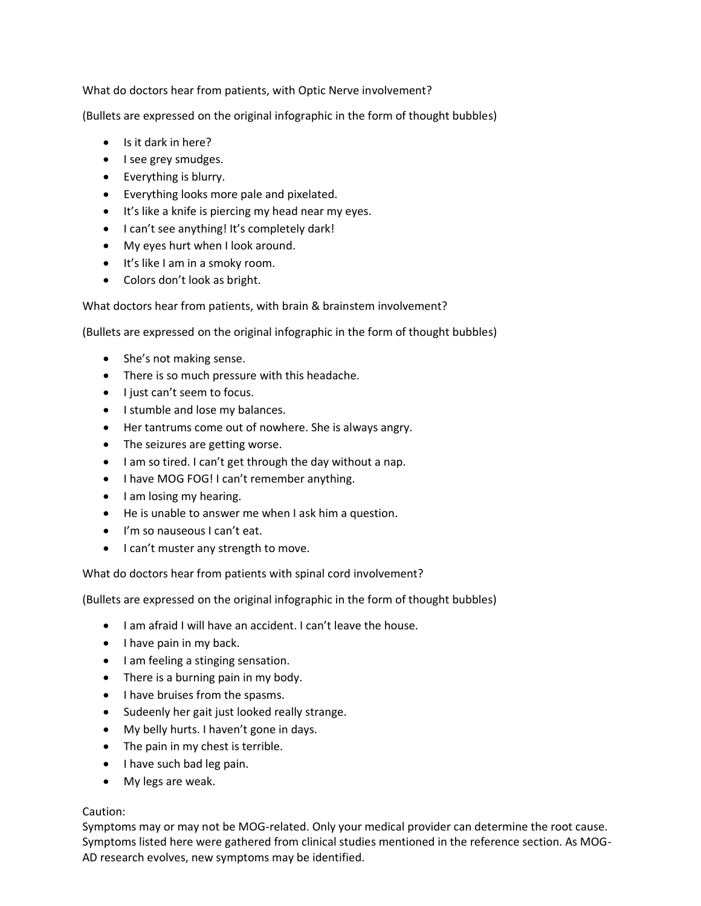What do doctors hear from patients, with Optic Nerve involvement?

(Bullets are expressed on the original infographic in the form of thought bubbles)

- Is it dark in here?
- I see grey smudges.
- Everything is blurry.
- Everything looks more pale and pixelated.
- It's like a knife is piercing my head near my eyes.
- I can't see anything! It's completely dark!
- My eyes hurt when I look around.
- It's like I am in a smoky room.
- Colors don't look as bright.

What doctors hear from patients, with brain & brainstem involvement?

(Bullets are expressed on the original infographic in the form of thought bubbles)

- She's not making sense.
- There is so much pressure with this headache.
- I just can't seem to focus.
- I stumble and lose my balances.
- Her tantrums come out of nowhere. She is always angry.
- The seizures are getting worse.
- I am so tired. I can't get through the day without a nap.
- I have MOG FOG! I can't remember anything.
- I am losing my hearing.
- He is unable to answer me when I ask him a question.
- I'm so nauseous I can't eat.
- I can't muster any strength to move.

What do doctors hear from patients with spinal cord involvement?

(Bullets are expressed on the original infographic in the form of thought bubbles)

- I am afraid I will have an accident. I can't leave the house.
- I have pain in my back.
- I am feeling a stinging sensation.
- There is a burning pain in my body.
- I have bruises from the spasms.
- Sudeenly her gait just looked really strange.
- My belly hurts. I haven't gone in days.
- The pain in my chest is terrible.
- I have such bad leg pain.
- My legs are weak.

### Caution: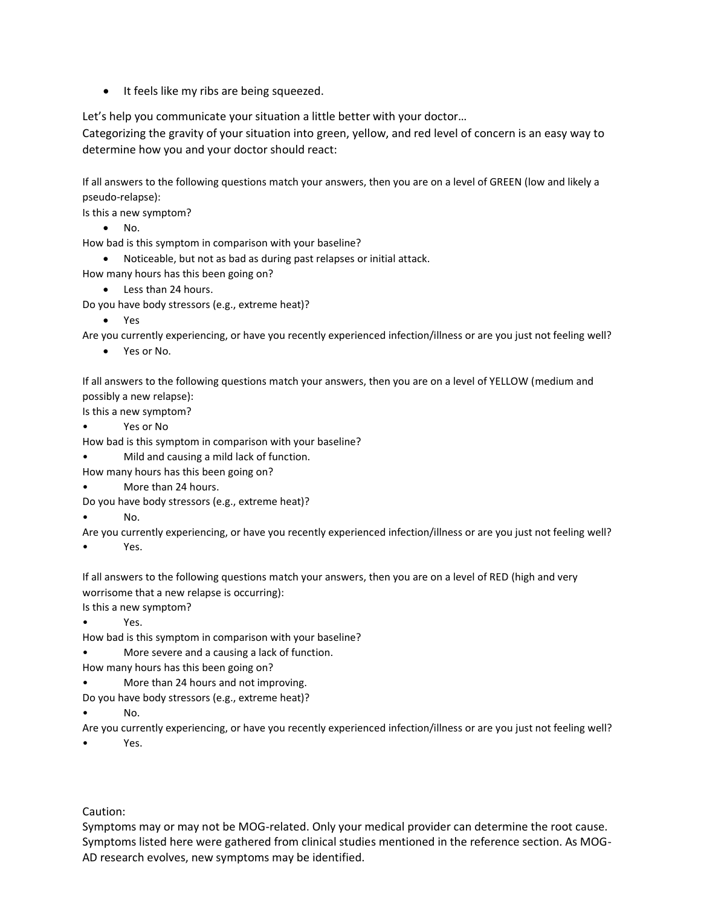• It feels like my ribs are being squeezed.

Let's help you communicate your situation a little better with your doctor…

Categorizing the gravity of your situation into green, yellow, and red level of concern is an easy way to determine how you and your doctor should react:

If all answers to the following questions match your answers, then you are on a level of GREEN (low and likely a pseudo-relapse):

Is this a new symptom?

• No.

How bad is this symptom in comparison with your baseline?

• Noticeable, but not as bad as during past relapses or initial attack.

How many hours has this been going on?

• Less than 24 hours.

Do you have body stressors (e.g., extreme heat)?

• Yes

Are you currently experiencing, or have you recently experienced infection/illness or are you just not feeling well?

• Yes or No.

If all answers to the following questions match your answers, then you are on a level of YELLOW (medium and possibly a new relapse):

Is this a new symptom?

• Yes or No

How bad is this symptom in comparison with your baseline?

• Mild and causing a mild lack of function.

How many hours has this been going on?

• More than 24 hours.

Do you have body stressors (e.g., extreme heat)?

• No.

Are you currently experiencing, or have you recently experienced infection/illness or are you just not feeling well?

Yes.

If all answers to the following questions match your answers, then you are on a level of RED (high and very worrisome that a new relapse is occurring):

Is this a new symptom?

• Yes.

How bad is this symptom in comparison with your baseline?

More severe and a causing a lack of function.

How many hours has this been going on?

• More than 24 hours and not improving.

Do you have body stressors (e.g., extreme heat)?

• No.

Are you currently experiencing, or have you recently experienced infection/illness or are you just not feeling well?

Yes.

Caution: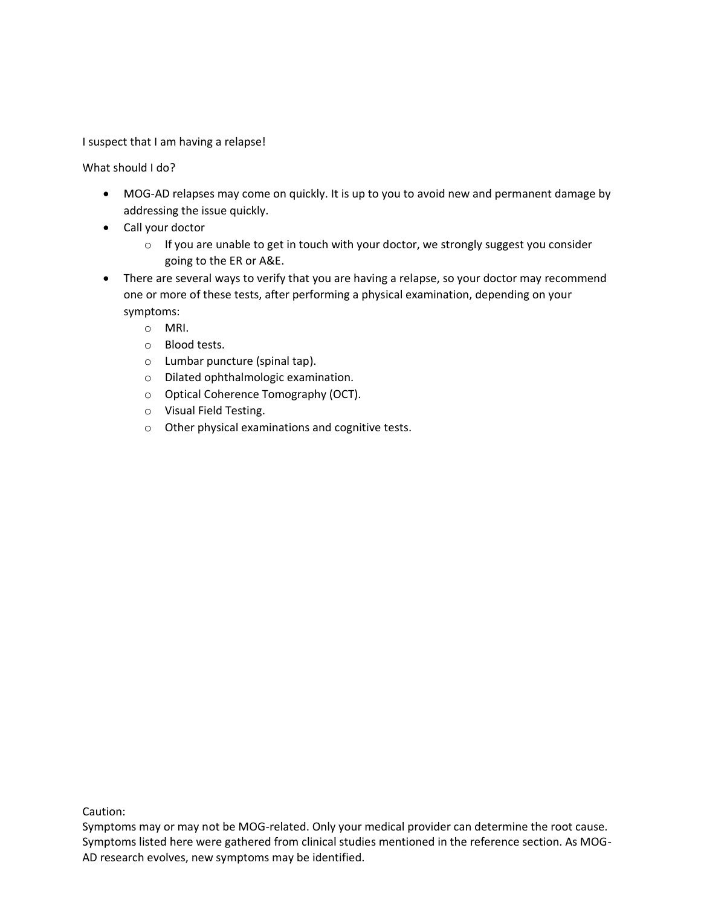I suspect that I am having a relapse!

What should I do?

- MOG-AD relapses may come on quickly. It is up to you to avoid new and permanent damage by addressing the issue quickly.
- Call your doctor
	- $\circ$  If you are unable to get in touch with your doctor, we strongly suggest you consider going to the ER or A&E.
- There are several ways to verify that you are having a relapse, so your doctor may recommend one or more of these tests, after performing a physical examination, depending on your symptoms:
	- o MRI.
	- o Blood tests.
	- o Lumbar puncture (spinal tap).
	- o Dilated ophthalmologic examination.
	- o Optical Coherence Tomography (OCT).
	- o Visual Field Testing.
	- o Other physical examinations and cognitive tests.

Caution:

Symptoms may or may not be MOG-related. Only your medical provider can determine the root cause. Symptoms listed here were gathered from clinical studies mentioned in the reference section. As MOG-AD research evolves, new symptoms may be identified.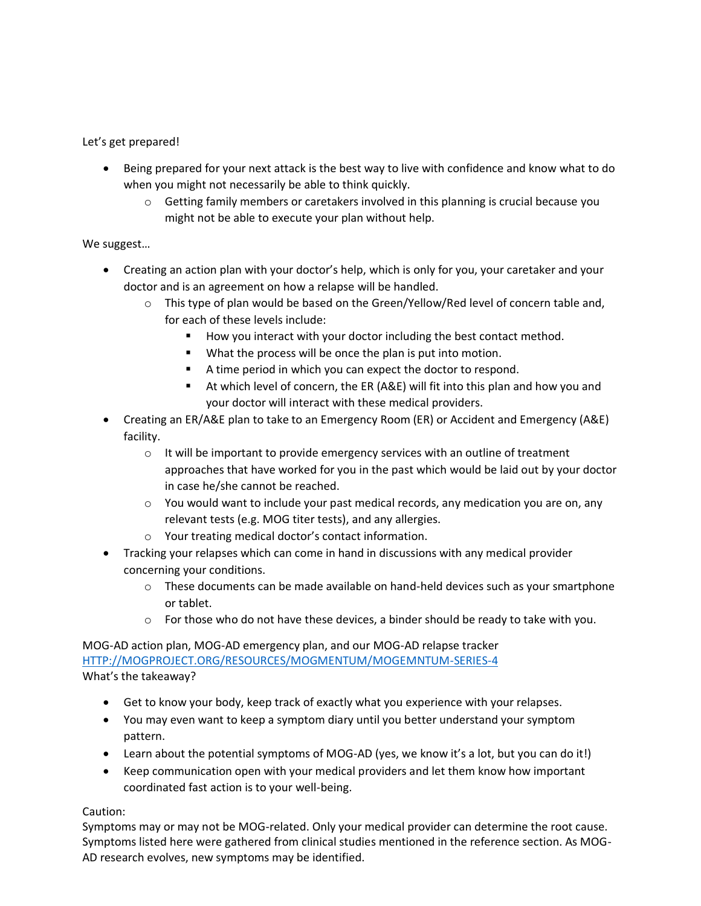Let's get prepared!

- Being prepared for your next attack is the best way to live with confidence and know what to do when you might not necessarily be able to think quickly.
	- $\circ$  Getting family members or caretakers involved in this planning is crucial because you might not be able to execute your plan without help.

### We suggest…

- Creating an action plan with your doctor's help, which is only for you, your caretaker and your doctor and is an agreement on how a relapse will be handled.
	- $\circ$  This type of plan would be based on the Green/Yellow/Red level of concern table and, for each of these levels include:
		- How you interact with your doctor including the best contact method.
		- What the process will be once the plan is put into motion.
		- A time period in which you can expect the doctor to respond.
		- At which level of concern, the ER (A&E) will fit into this plan and how you and your doctor will interact with these medical providers.
- Creating an ER/A&E plan to take to an Emergency Room (ER) or Accident and Emergency (A&E) facility.
	- o It will be important to provide emergency services with an outline of treatment approaches that have worked for you in the past which would be laid out by your doctor in case he/she cannot be reached.
	- $\circ$  You would want to include your past medical records, any medication you are on, any relevant tests (e.g. MOG titer tests), and any allergies.
	- o Your treating medical doctor's contact information.
- Tracking your relapses which can come in hand in discussions with any medical provider concerning your conditions.
	- $\circ$  These documents can be made available on hand-held devices such as your smartphone or tablet.
	- $\circ$  For those who do not have these devices, a binder should be ready to take with you.

MOG-AD action plan, MOG-AD emergency plan, and our MOG-AD relapse tracker [HTTP://MOGPROJECT.ORG/RESOURCES/MOGMENTUM/MOGEMNTUM-SERIES-4](http://mogproject.org/RESOURCES/MOGMENTUM/MOGEMNTUM-SERIES-4) What's the takeaway?

- Get to know your body, keep track of exactly what you experience with your relapses.
- You may even want to keep a symptom diary until you better understand your symptom pattern.
- Learn about the potential symptoms of MOG-AD (yes, we know it's a lot, but you can do it!)
- Keep communication open with your medical providers and let them know how important coordinated fast action is to your well-being.

### Caution: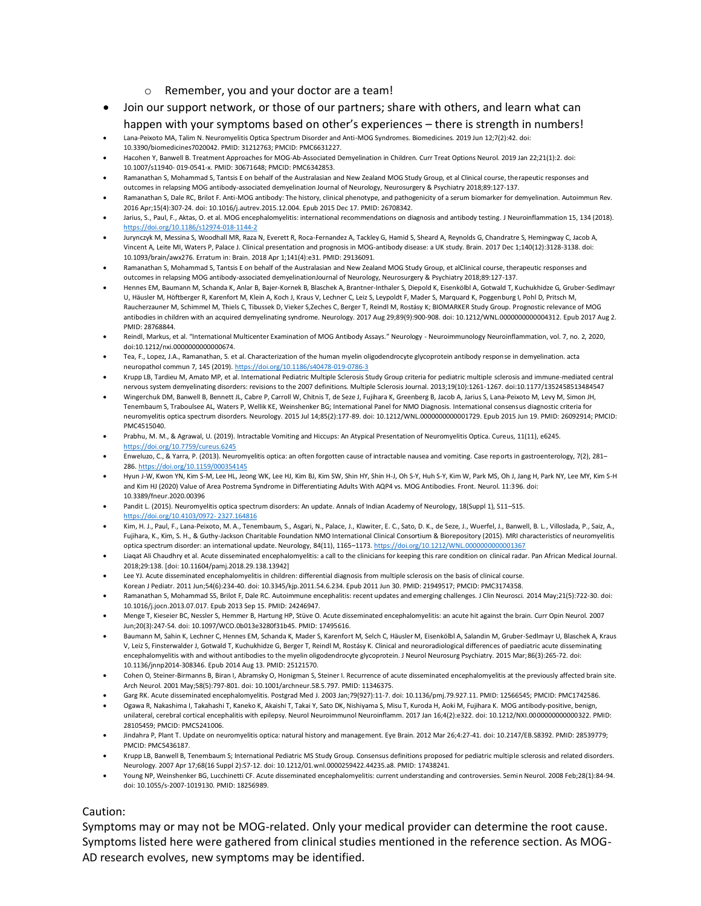#### o Remember, you and your doctor are a team!

- Join our support network, or those of our partners; share with others, and learn what can happen with your symptoms based on other's experiences – there is strength in numbers!
- Lana-Peixoto MA, Talim N. Neuromyelitis Optica Spectrum Disorder and Anti-MOG Syndromes. Biomedicines. 2019 Jun 12;7(2):42. doi: 10.3390/biomedicines7020042. PMID: 31212763; PMCID: PMC6631227.
- Hacohen Y, Banwell B. Treatment Approaches for MOG-Ab-Associated Demyelination in Children. Curr Treat Options Neurol. 2019 Jan 22;21(1):2. doi: 10.1007/s11940- 019-0541-x. PMID: 30671648; PMCID: PMC6342853.
- Ramanathan S, Mohammad S, Tantsis E on behalf of the Australasian and New Zealand MOG Study Group, et al Clinical course, therapeutic responses and outcomes in relapsing MOG antibody-associated demyelination Journal of Neurology, Neurosurgery & Psychiatry 2018;89:127-137.
- Ramanathan S, Dale RC, Brilot F. Anti-MOG antibody: The history, clinical phenotype, and pathogenicity of a serum biomarker for demyelination. Autoimmun Rev. 2016 Apr;15(4):307-24. doi: 10.1016/j.autrev.2015.12.004. Epub 2015 Dec 17. PMID: 26708342.
- Jarius, S., Paul, F., Aktas, O. et al. MOG encephalomyelitis: international recommendations on diagnosis and antibody testing. J Neuroinflammation 15, 134 (2018). <https://doi.org/10.1186/s12974-018-1144-2>
- Jurynczyk M, Messina S, Woodhall MR, Raza N, Everett R, Roca-Fernandez A, Tackley G, Hamid S, Sheard A, Reynolds G, Chandratre S, Hemingway C, Jacob A, Vincent A, Leite MI, Waters P, Palace J. Clinical presentation and prognosis in MOG-antibody disease: a UK study. Brain. 2017 Dec 1;140(12):3128-3138. doi: 10.1093/brain/awx276. Erratum in: Brain. 2018 Apr 1;141(4):e31. PMID: 29136091.
- Ramanathan S, Mohammad S, Tantsis E on behalf of the Australasian and New Zealand MOG Study Group, et alClinical course, therapeutic responses and outcomes in relapsing MOG antibody-associated demyelinationJournal of Neurology, Neurosurgery & Psychiatry 2018;89:127-137.
- Hennes EM, Baumann M, Schanda K, Anlar B, Bajer-Kornek B, Blaschek A, Brantner-Inthaler S, Diepold K, Eisenkölbl A, Gotwald T, Kuchukhidze G, Gruber-Sedlmayr U, Häusler M, Höftberger R, Karenfort M, Klein A, Koch J, Kraus V, Lechner C, Leiz S, Leypoldt F, Mader S, Marquard K, Poggenburg I, Pohl D, Pritsch M, Raucherzauner M, Schimmel M, Thiels C, Tibussek D, Vieker S,Zeches C, Berger T, Reindl M, Rostásy K; BIOMARKER Study Group. Prognostic relevance of MOG antibodies in children with an acquired demyelinating syndrome. Neurology. 2017 Aug 29;89(9):900-908. doi: 10.1212/WNL.0000000000004312. Epub 2017 Aug 2. PMID: 28768844.
- Reindl, Markus, et al. "International Multicenter Examination of MOG Antibody Assays." Neurology Neuroimmunology Neuroinflammation, vol. 7, no. 2, 2020, doi:10.1212/nxi.0000000000000674.
- Tea, F., Lopez, J.A., Ramanathan, S. et al. Characterization of the human myelin oligodendrocyte glycoprotein antibody response in demyelination. acta neuropathol commun 7, 145 (2019)[. https://doi.org/10.1186/s40478-019-0786-3](https://doi.org/10.1186/s40478-019-0786-3)
- Krupp LB, Tardieu M, Amato MP, et al. International Pediatric Multiple Sclerosis Study Group criteria for pediatric multiple sclerosis and immune-mediated central nervous system demyelinating disorders: revisions to the 2007 definitions. Multiple Sclerosis Journal. 2013;19(10):1261-1267. doi:10.1177/1352458513484547
- Wingerchuk DM, Banwell B, Bennett JL, Cabre P, Carroll W, Chitnis T, de Seze J, Fujihara K, Greenberg B, Jacob A, Jarius S, Lana-Peixoto M, Levy M, Simon JH, Tenembaum S, Traboulsee AL, Waters P, Wellik KE, Weinshenker BG; International Panel for NMO Diagnosis. International consensus diagnostic criteria for neuromyelitis optica spectrum disorders. Neurology. 2015 Jul 14;85(2):177-89. doi: 10.1212/WNL.0000000000001729. Epub 2015 Jun 19. PMID: 26092914; PMCID: PMC4515040.
- Prabhu, M. M., & Agrawal, U. (2019). Intractable Vomiting and Hiccups: An Atypical Presentation of Neuromyelitis Optica. Cureus, 11(11), e6245. <https://doi.org/10.7759/cureus.6245>
- Enweluzo, C., & Yarra, P. (2013). Neuromyelitis optica: an often forgotten cause of intractable nausea and vomiting. Case reports in gastroenterology, 7(2), 281– 286[. https://doi.org/10.1159/000354145](https://doi.org/10.1159/000354145)
- Hyun J-W, Kwon YN, Kim S-M, Lee HL, Jeong WK, Lee HJ, Kim BJ, Kim SW, Shin HY, Shin H-J, Oh S-Y, Huh S-Y, Kim W, Park MS, Oh J, Jang H, Park NY, Lee MY, Kim S-H and Kim HJ (2020) Value of Area Postrema Syndrome in Differentiating Adults With AQP4 vs. MOG Antibodies. Front. Neurol. 11:396. doi: 10.3389/fneur.2020.00396
- Pandit L. (2015). Neuromyelitis optica spectrum disorders: An update. Annals of Indian Academy of Neurology, 18(Suppl 1), S11–S15. [https://doi.org/10.4103/0972-](https://doi.org/10.4103/0972-%202327.164816) 2327.164816
- Kim, H. J., Paul, F., Lana-Peixoto, M. A., Tenembaum, S., Asgari, N., Palace, J., Klawiter, E. C., Sato, D. K., de Seze, J., Wuerfel, J., Banwell, B. L., Villoslada, P., Saiz, A., Fujihara, K., Kim, S. H., & Guthy-Jackson Charitable Foundation NMO International Clinical Consortium & Biorepository (2015). MRI characteristics of neuromyelitis optica spectrum disorder: an international update. Neurology, 84(11), 1165–1173[. https://doi.org/10.1212/WNL.0000000000001367](https://doi.org/10.1212/WNL.0000000000001367)
- Liaqat Ali Chaudhry et al. Acute disseminated encephalomyelitis: a call to the clinicians for keeping this rare condition on clinical radar. Pan African Medical Journal. 2018;29:138. [doi: 10.11604/pamj.2018.29.138.13942]
- Lee YJ. Acute disseminated encephalomyelitis in children: differential diagnosis from multiple sclerosis on the basis of clinical course.
- Korean J Pediatr. 2011 Jun;54(6):234-40. doi: 10.3345/kjp.2011.54.6.234. Epub 2011 Jun 30. PMID: 21949517; PMCID: PMC3174358.
- Ramanathan S, Mohammad SS, Brilot F, Dale RC. Autoimmune encephalitis: recent updates and emerging challenges. J Clin Neurosci. 2014 May;21(5):722-30. doi: 10.1016/j.jocn.2013.07.017. Epub 2013 Sep 15. PMID: 24246947.
- Menge T, Kieseier BC, Nessler S, Hemmer B, Hartung HP, Stüve O. Acute disseminated encephalomyelitis: an acute hit against the brain. Curr Opin Neurol. 2007 Jun;20(3):247-54. doi: 10.1097/WCO.0b013e3280f31b45. PMID: 17495616.
- Baumann M, Sahin K, Lechner C, Hennes EM, Schanda K, Mader S, Karenfort M, Selch C, Häusler M, Eisenkölbl A, Salandin M, Gruber-Sedlmayr U, Blaschek A, Kraus V, Leiz S, Finsterwalder J, Gotwald T, Kuchukhidze G, Berger T, Reindl M, Rostásy K. Clinical and neuroradiological differences of paediatric acute disseminating encephalomyelitis with and without antibodies to the myelin oligodendrocyte glycoprotein. J Neurol Neurosurg Psychiatry. 2015 Mar;86(3):265-72. doi: 10.1136/jnnp2014-308346. Epub 2014 Aug 13. PMID: 25121570.
- Cohen O, Steiner-Birmanns B, Biran I, Abramsky O, Honigman S, Steiner I. Recurrence of acute disseminated encephalomyelitis at the previously affected brain site. Arch Neurol. 2001 May;58(5):797-801. doi: 10.1001/archneur.58.5.797. PMID: 11346375.
- Garg RK. Acute disseminated encephalomyelitis. Postgrad Med J. 2003 Jan;79(927):11-7. doi: 10.1136/pmj.79.927.11. PMID: 12566545; PMCID: PMC1742586.
- Ogawa R, Nakashima I, Takahashi T, Kaneko K, Akaishi T, Takai Y, Sato DK, Nishiyama S, Misu T, Kuroda H, Aoki M, Fujihara K. MOG antibody-positive, benign, unilateral, cerebral cortical encephalitis with epilepsy. Neurol Neuroimmunol Neuroinflamm. 2017 Jan 16;4(2):e322. doi: 10.1212/NXI.0000000000000322. PMID: 28105459; PMCID: PMC5241006.
- Jindahra P, Plant T. Update on neuromyelitis optica: natural history and management. Eye Brain. 2012 Mar 26;4:27-41. doi: 10.2147/EB.S8392. PMID: 28539779; PMCID: PMC5436187.
- Krupp LB, Banwell B, Tenembaum S; International Pediatric MS Study Group. Consensus definitions proposed for pediatric multiple sclerosis and related disorders. Neurology. 2007 Apr 17;68(16 Suppl 2):S7-12. doi: 10.1212/01.wnl.0000259422.44235.a8. PMID: 17438241.
- Young NP, Weinshenker BG, Lucchinetti CF. Acute disseminated encephalomyelitis: current understanding and controversies. Semin Neurol. 2008 Feb;28(1):84-94. doi: 10.1055/s-2007-1019130. PMID: 18256989.

#### Caution: